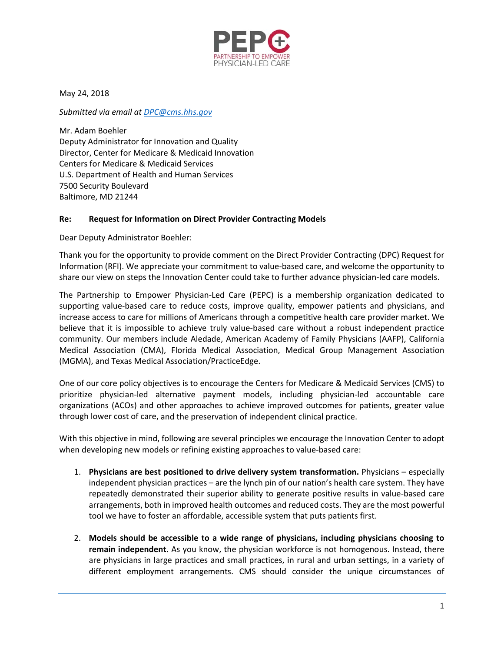

May 24, 2018

*Submitted via email at DPC@cms.hhs.gov*

Mr. Adam Boehler Deputy Administrator for Innovation and Quality Director, Center for Medicare & Medicaid Innovation Centers for Medicare & Medicaid Services U.S. Department of Health and Human Services 7500 Security Boulevard Baltimore, MD 21244

## **Re: Request for Information on Direct Provider Contracting Models**

Dear Deputy Administrator Boehler:

Thank you for the opportunity to provide comment on the Direct Provider Contracting (DPC) Request for Information (RFI). We appreciate your commitment to value‐based care, and welcome the opportunity to share our view on steps the Innovation Center could take to further advance physician‐led care models.

The Partnership to Empower Physician‐Led Care (PEPC) is a membership organization dedicated to supporting value‐based care to reduce costs, improve quality, empower patients and physicians, and increase access to care for millions of Americans through a competitive health care provider market. We believe that it is impossible to achieve truly value‐based care without a robust independent practice community. Our members include Aledade, American Academy of Family Physicians (AAFP), California Medical Association (CMA), Florida Medical Association, Medical Group Management Association (MGMA), and Texas Medical Association/PracticeEdge.

One of our core policy objectives is to encourage the Centers for Medicare & Medicaid Services (CMS) to prioritize physician‐led alternative payment models, including physician‐led accountable care organizations (ACOs) and other approaches to achieve improved outcomes for patients, greater value through lower cost of care, and the preservation of independent clinical practice.

With this objective in mind, following are several principles we encourage the Innovation Center to adopt when developing new models or refining existing approaches to value‐based care:

- 1. **Physicians are best positioned to drive delivery system transformation.** Physicians especially independent physician practices – are the lynch pin of our nation's health care system. They have repeatedly demonstrated their superior ability to generate positive results in value‐based care arrangements, both in improved health outcomes and reduced costs. They are the most powerful tool we have to foster an affordable, accessible system that puts patients first.
- 2. **Models should be accessible to a wide range of physicians, including physicians choosing to remain independent.** As you know, the physician workforce is not homogenous. Instead, there are physicians in large practices and small practices, in rural and urban settings, in a variety of different employment arrangements. CMS should consider the unique circumstances of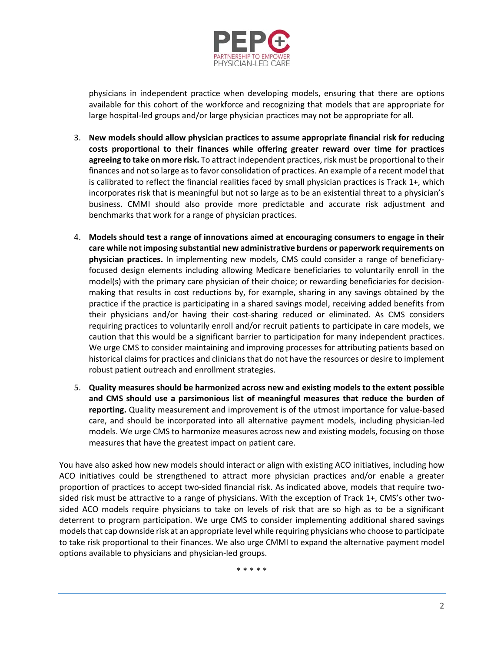

physicians in independent practice when developing models, ensuring that there are options available for this cohort of the workforce and recognizing that models that are appropriate for large hospital‐led groups and/or large physician practices may not be appropriate for all.

- 3. **New models should allow physician practices to assume appropriate financial risk for reducing costs proportional to their finances while offering greater reward over time for practices agreeing to take on more risk.** To attract independent practices, risk must be proportional to their finances and not so large as to favor consolidation of practices. An example of a recent model that is calibrated to reflect the financial realities faced by small physician practices is Track 1+, which incorporates risk that is meaningful but not so large as to be an existential threat to a physician's business. CMMI should also provide more predictable and accurate risk adjustment and benchmarks that work for a range of physician practices.
- 4. **Models should test a range of innovations aimed at encouraging consumers to engage in their care while not imposing substantial new administrative burdens or paperwork requirements on physician practices.** In implementing new models, CMS could consider a range of beneficiary‐ focused design elements including allowing Medicare beneficiaries to voluntarily enroll in the model(s) with the primary care physician of their choice; or rewarding beneficiaries for decisionmaking that results in cost reductions by, for example, sharing in any savings obtained by the practice if the practice is participating in a shared savings model, receiving added benefits from their physicians and/or having their cost‐sharing reduced or eliminated. As CMS considers requiring practices to voluntarily enroll and/or recruit patients to participate in care models, we caution that this would be a significant barrier to participation for many independent practices. We urge CMS to consider maintaining and improving processes for attributing patients based on historical claims for practices and clinicians that do not have the resources or desire to implement robust patient outreach and enrollment strategies.
- 5. **Quality measures should be harmonized across new and existing models to the extent possible and CMS should use a parsimonious list of meaningful measures that reduce the burden of reporting.** Quality measurement and improvement is of the utmost importance for value‐based care, and should be incorporated into all alternative payment models, including physician‐led models. We urge CMS to harmonize measures across new and existing models, focusing on those measures that have the greatest impact on patient care.

You have also asked how new models should interact or align with existing ACO initiatives, including how ACO initiatives could be strengthened to attract more physician practices and/or enable a greater proportion of practices to accept two-sided financial risk. As indicated above, models that require twosided risk must be attractive to a range of physicians. With the exception of Track 1+, CMS's other twosided ACO models require physicians to take on levels of risk that are so high as to be a significant deterrent to program participation. We urge CMS to consider implementing additional shared savings models that cap downside risk at an appropriate level while requiring physicians who choose to participate to take risk proportional to their finances. We also urge CMMI to expand the alternative payment model options available to physicians and physician‐led groups.

\* \* \* \* \*